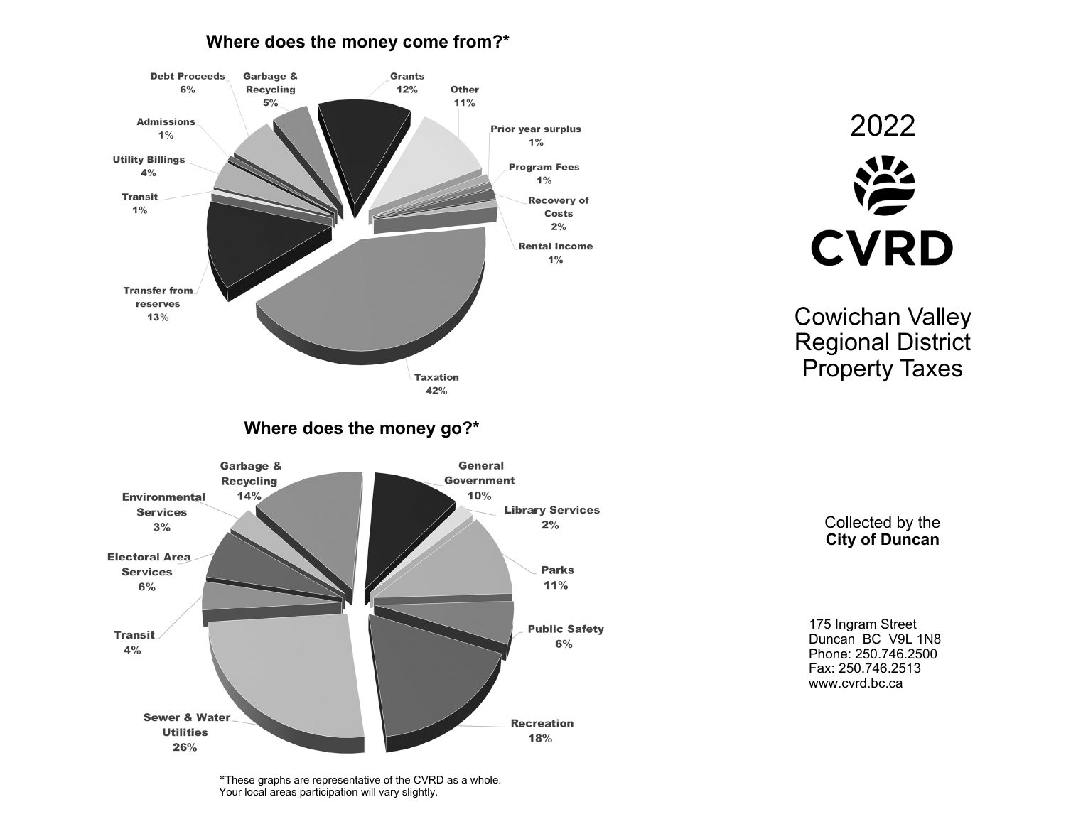## **Where does the money come from?\***



Collected by the

**City of Duncan** 

175 Ingram Street Duncan BC V9L 1N8 Phone: 250.746.2500 Fax: 250.746.2513 www.cvrd.bc.ca

Cowichan Valley Regional District

**CVRD** 

Property Taxes

2022

\*These graphs are representative of the CVRD as a whole. Your local areas participation will vary slightly.